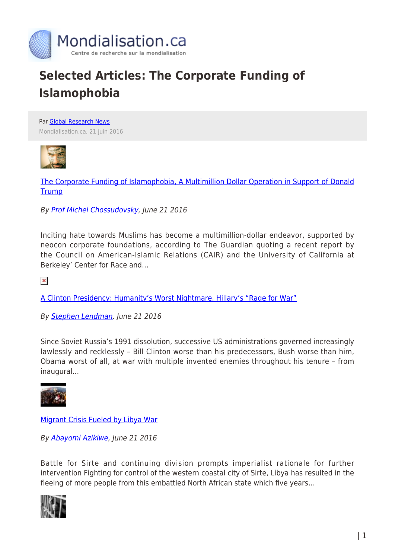

## **Selected Articles: The Corporate Funding of Islamophobia**

Par [Global Research News](https://www.mondialisation.ca/author/global-research-news) Mondialisation.ca, 21 juin 2016



[The Corporate Funding of Islamophobia, A Multimillion Dollar Operation in Support of Donald](http://www.globalresearch.ca/the-corporate-funding-of-islamophobia-a-multimillion-dollar-operation-in-support-of-donald-trump/5532053) **[Trump](http://www.globalresearch.ca/the-corporate-funding-of-islamophobia-a-multimillion-dollar-operation-in-support-of-donald-trump/5532053)** 

By [Prof Michel Chossudovsky,](http://www.globalresearch.ca/author/michel-chossudovsky) June 21 2016

Inciting hate towards Muslims has become a multimillion-dollar endeavor, supported by neocon corporate foundations, according to The Guardian quoting a recent report by the Council on American-Islamic Relations (CAIR) and the University of California at Berkeley' Center for Race and…

 $\pmb{\times}$ 

[A Clinton Presidency: Humanity's Worst Nightmare. Hillary's "Rage for War"](http://www.globalresearch.ca/a-clinton-presidency-humanitys-worst-nightmare-hillarys-rage-for-war/5532149)

By [Stephen Lendman,](http://www.globalresearch.ca/author/stephen-lendman) June 21 2016

Since Soviet Russia's 1991 dissolution, successive US administrations governed increasingly lawlessly and recklessly – Bill Clinton worse than his predecessors, Bush worse than him, Obama worst of all, at war with multiple invented enemies throughout his tenure – from inaugural…



[Migrant Crisis Fueled by Libya War](http://www.globalresearch.ca/migrant-crisis-fueled-by-libya-war/5532034)

By [Abayomi Azikiwe](http://www.globalresearch.ca/author/abayomi-azikiwe), June 21 2016

Battle for Sirte and continuing division prompts imperialist rationale for further intervention Fighting for control of the western coastal city of Sirte, Libya has resulted in the fleeing of more people from this embattled North African state which five years…